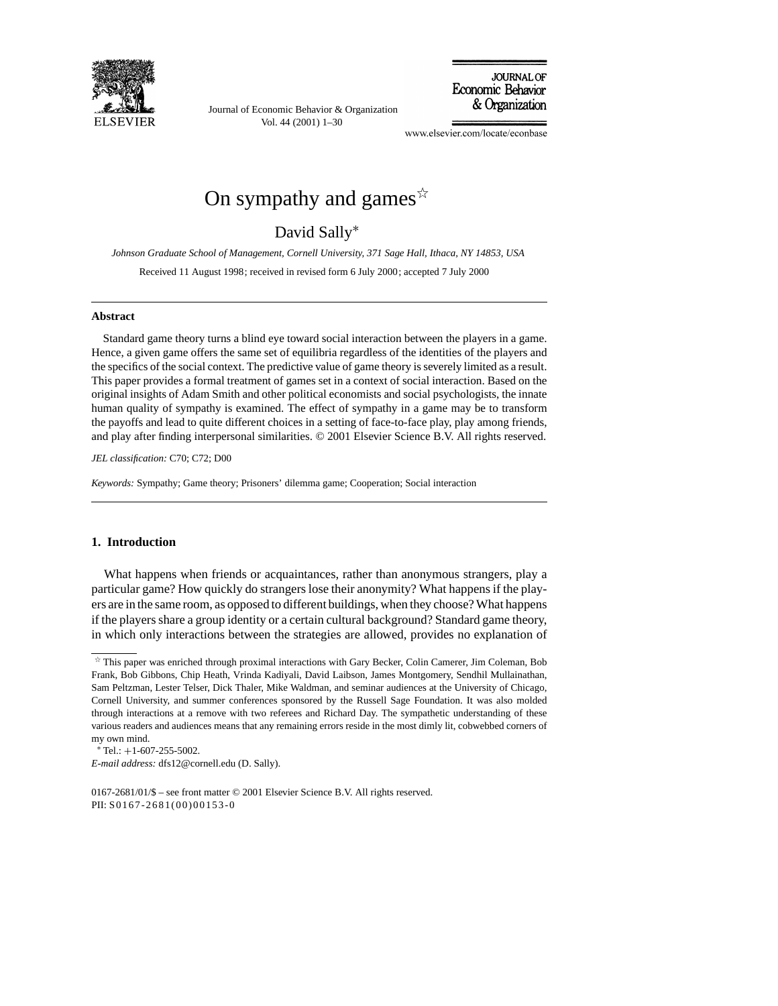

Journal of Economic Behavior & Organization Vol. 44 (2001) 1–30

**JOURNAL OF** Economic Behavior & Organization

www.elsevier.com/locate/econbase

# On sympathy and games  $\overrightarrow{x}$

### David Sally<sup>∗</sup>

*Johnson Graduate School of Management, Cornell University, 371 Sage Hall, Ithaca, NY 14853, USA* Received 11 August 1998; received in revised form 6 July 2000; accepted 7 July 2000

#### **Abstract**

Standard game theory turns a blind eye toward social interaction between the players in a game. Hence, a given game offers the same set of equilibria regardless of the identities of the players and the specifics of the social context. The predictive value of game theory is severely limited as a result. This paper provides a formal treatment of games set in a context of social interaction. Based on the original insights of Adam Smith and other political economists and social psychologists, the innate human quality of sympathy is examined. The effect of sympathy in a game may be to transform the payoffs and lead to quite different choices in a setting of face-to-face play, play among friends, and play after finding interpersonal similarities. © 2001 Elsevier Science B.V. All rights reserved.

*JEL classification:* C70; C72; D00

*Keywords:* Sympathy; Game theory; Prisoners' dilemma game; Cooperation; Social interaction

### **1. Introduction**

What happens when friends or acquaintances, rather than anonymous strangers, play a particular game? How quickly do strangers lose their anonymity? What happens if the players are in the same room, as opposed to different buildings, when they choose? What happens if the players share a group identity or a certain cultural background? Standard game theory, in which only interactions between the strategies are allowed, provides no explanation of

 $*$  This paper was enriched through proximal interactions with Gary Becker, Colin Camerer, Jim Coleman, Bob Frank, Bob Gibbons, Chip Heath, Vrinda Kadiyali, David Laibson, James Montgomery, Sendhil Mullainathan, Sam Peltzman, Lester Telser, Dick Thaler, Mike Waldman, and seminar audiences at the University of Chicago, Cornell University, and summer conferences sponsored by the Russell Sage Foundation. It was also molded through interactions at a remove with two referees and Richard Day. The sympathetic understanding of these various readers and audiences means that any remaining errors reside in the most dimly lit, cobwebbed corners of my own mind.

 $*$  Tel.:  $+1$ -607-255-5002.

*E-mail address:* dfs12@cornell.edu (D. Sally).

<sup>0167-2681/01/\$ –</sup> see front matter © 2001 Elsevier Science B.V. All rights reserved. PII: S0167-2681(00)00153-0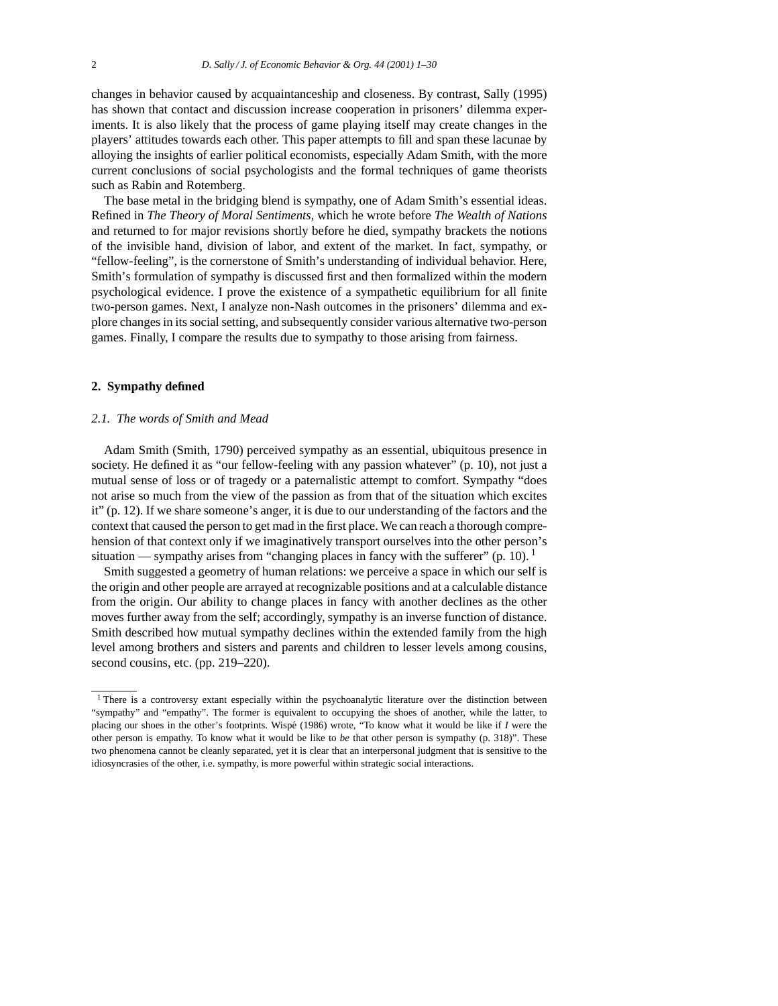changes in behavior caused by acquaintanceship and closeness. By contrast, Sally (1995) has shown that contact and discussion increase cooperation in prisoners' dilemma experiments. It is also likely that the process of game playing itself may create changes in the players' attitudes towards each other. This paper attempts to fill and span these lacunae by alloying the insights of earlier political economists, especially Adam Smith, with the more current conclusions of social psychologists and the formal techniques of game theorists such as Rabin and Rotemberg.

The base metal in the bridging blend is sympathy, one of Adam Smith's essential ideas. Refined in *The Theory of Moral Sentiments*, which he wrote before *The Wealth of Nations* and returned to for major revisions shortly before he died, sympathy brackets the notions of the invisible hand, division of labor, and extent of the market. In fact, sympathy, or "fellow-feeling", is the cornerstone of Smith's understanding of individual behavior. Here, Smith's formulation of sympathy is discussed first and then formalized within the modern psychological evidence. I prove the existence of a sympathetic equilibrium for all finite two-person games. Next, I analyze non-Nash outcomes in the prisoners' dilemma and explore changes in its social setting, and subsequently consider various alternative two-person games. Finally, I compare the results due to sympathy to those arising from fairness.

### **2. Sympathy defined**

### *2.1. The words of Smith and Mead*

Adam Smith (Smith, 1790) perceived sympathy as an essential, ubiquitous presence in society. He defined it as "our fellow-feeling with any passion whatever" (p. 10), not just a mutual sense of loss or of tragedy or a paternalistic attempt to comfort. Sympathy "does not arise so much from the view of the passion as from that of the situation which excites it" (p. 12). If we share someone's anger, it is due to our understanding of the factors and the context that caused the person to get mad in the first place. We can reach a thorough comprehension of that context only if we imaginatively transport ourselves into the other person's situation — sympathy arises from "changing places in fancy with the sufferer"  $(p. 10)$ .

Smith suggested a geometry of human relations: we perceive a space in which our self is the origin and other people are arrayed at recognizable positions and at a calculable distance from the origin. Our ability to change places in fancy with another declines as the other moves further away from the self; accordingly, sympathy is an inverse function of distance. Smith described how mutual sympathy declines within the extended family from the high level among brothers and sisters and parents and children to lesser levels among cousins, second cousins, etc. (pp. 219–220).

<sup>&</sup>lt;sup>1</sup> There is a controversy extant especially within the psychoanalytic literature over the distinction between "sympathy" and "empathy". The former is equivalent to occupying the shoes of another, while the latter, to placing our shoes in the other's footprints. Wispé (1986) wrote, "To know what it would be like if *I* were the other person is empathy. To know what it would be like to *be* that other person is sympathy (p. 318)". These two phenomena cannot be cleanly separated, yet it is clear that an interpersonal judgment that is sensitive to the idiosyncrasies of the other, i.e. sympathy, is more powerful within strategic social interactions.